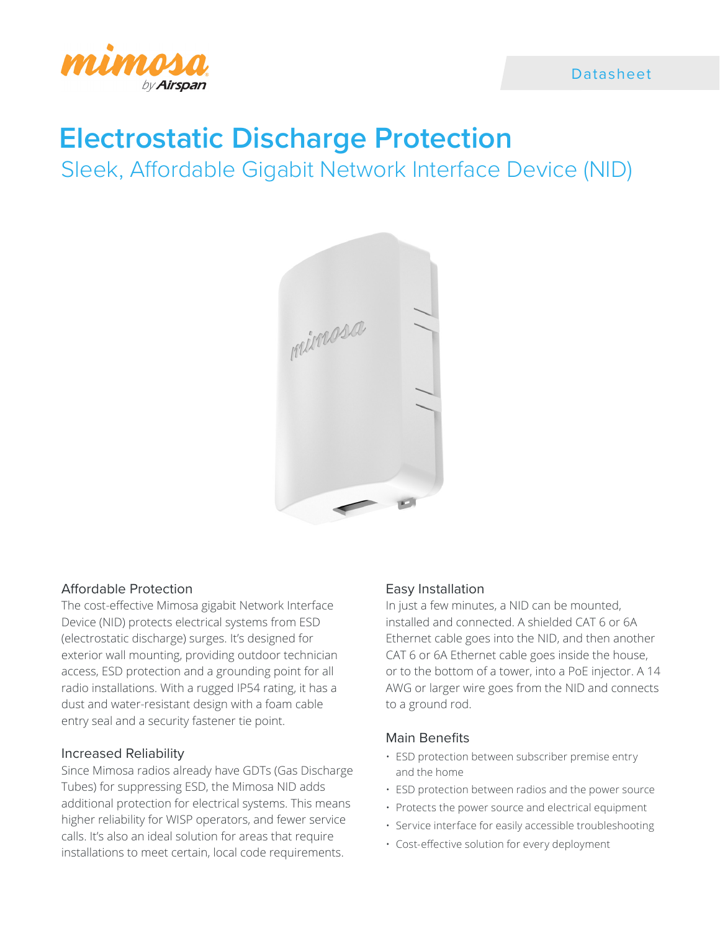

# **Electrostatic Discharge Protection**

Sleek, Affordable Gigabit Network Interface Device (NID)



### Affordable Protection

The cost-effective Mimosa gigabit Network Interface Device (NID) protects electrical systems from ESD (electrostatic discharge) surges. It's designed for exterior wall mounting, providing outdoor technician access, ESD protection and a grounding point for all radio installations. With a rugged IP54 rating, it has a dust and water-resistant design with a foam cable entry seal and a security fastener tie point.

### Increased Reliability

Since Mimosa radios already have GDTs (Gas Discharge Tubes) for suppressing ESD, the Mimosa NID adds additional protection for electrical systems. This means higher reliability for WISP operators, and fewer service calls. It's also an ideal solution for areas that require installations to meet certain, local code requirements.

### Easy Installation

In just a few minutes, a NID can be mounted, installed and connected. A shielded CAT 6 or 6A Ethernet cable goes into the NID, and then another CAT 6 or 6A Ethernet cable goes inside the house, or to the bottom of a tower, into a PoE injector. A 14 AWG or larger wire goes from the NID and connects to a ground rod.

#### Main Benefits

- ESD protection between subscriber premise entry and the home
- ESD protection between radios and the power source
- Protects the power source and electrical equipment
- Service interface for easily accessible troubleshooting
- Cost-effective solution for every deployment